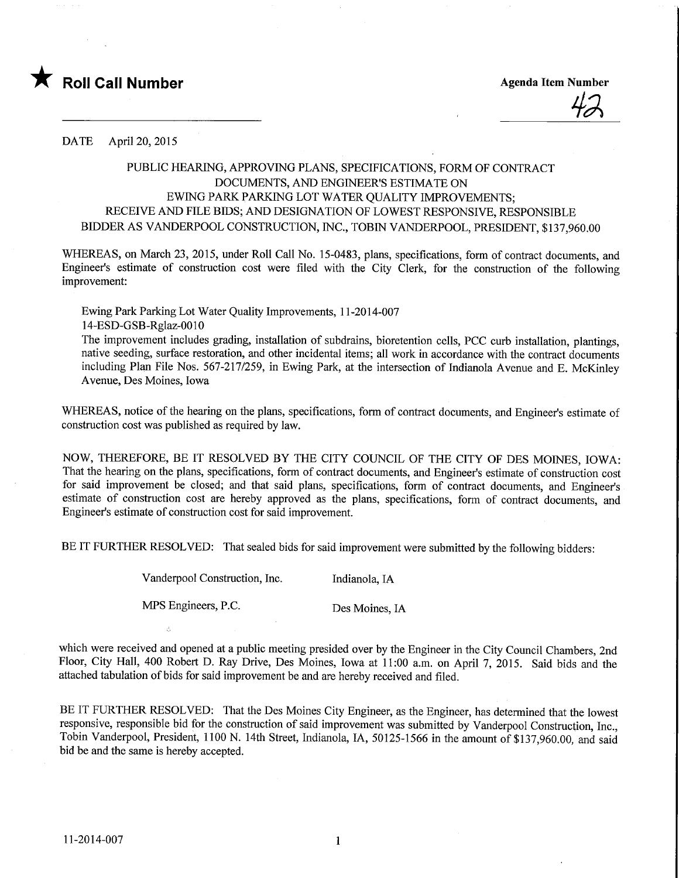

DATE April 20, 2015

## PUBLIC HEARING, APPROVING PLANS, SPECIFICATIONS, FORM OF CONTRACT DOCUMENTS, AND ENGINEER'S ESTIMATE ON EWING PARK PARKING LOT WATER QUALITY IMPROVEMENTS; RECEIVE AND FILE BIDS; AND DESIGNATION OF LOWEST RESPONSIVE, RESPONSIBLE BIDDER AS VANDERPOOL CONSTRUCTION, INC., TOBIN VANDERPOOL, PRESIDENT, \$137,960.00

WHEREAS, on March 23, 2015, under Roll Call No. 15-0483, plans, specifications, form of contract documents, and Engineer's estimate of construction cost were filed with the City Clerk, for the construction of the following improvement:

Ewing Park Parking Lot Water Quality Improvements, 11-2014-007 14-ESD-GSB-Rglaz-OO 10

The improvement includes grading, installation of subdrains, bioretention cells, PCC curb installation, plantings, native seeding, surface restoration, and other incidental items; all work in accordance with the contract documents including Plan File Nos. 567-217/259, in Ewing Park, at the intersection of Indianola Avenue and E. McKinley Avenue, Des Moines, Iowa

WHEREAS, notice of the hearing on the plans, specifications, form of contract documents, and Engineer's estimate of construction cost was published as required by law.

NOW, THEREFORE, BE IT RESOLVED BY THE CITY COUNCIL OF THE CITY OF DES MOINES, IOWA: That the hearing on the plans, specifications, form of contract documents, and Engineer's estimate of construction cost for said improvement be closed; and that said plans, specifications, form of contract documents, and Engineer's estimate of construction cost are hereby approved as the plans, specifications, form of contract documents, and Engineer's estimate of construction cost for said improvement.

BE IT FURTHER RESOLVED: That sealed bids for said improvement were submitted by the following bidders:

Vanderpool Construction, Inc. [Indianola, IA

MPS Engineers, P.C. Des Moines, IA

which were received and opened at a public meeting presided over by the Engineer in the City Council Chambers, 2nd Floor, City Hall, 400 Robert D. Ray Drive, Des Moines, Iowa at 11:00 a.m. on April 7, 2015. Said bids and the attached tabulation of bids for said improvement be and are hereby received and filed.

BE IT FURTHER RESOLVED: That the Des Moines City Engineer, as the Engineer, has determined that the lowest responsive, responsible bid for the construction of said improvement was submitted by Vanderpool Construction, Inc., Tobin Vanderpool, President, 1100 N. 14th Street, Indianola, IA, 50125-1566 in the amount of \$137,960.00, and said bid be and the same is hereby accepted.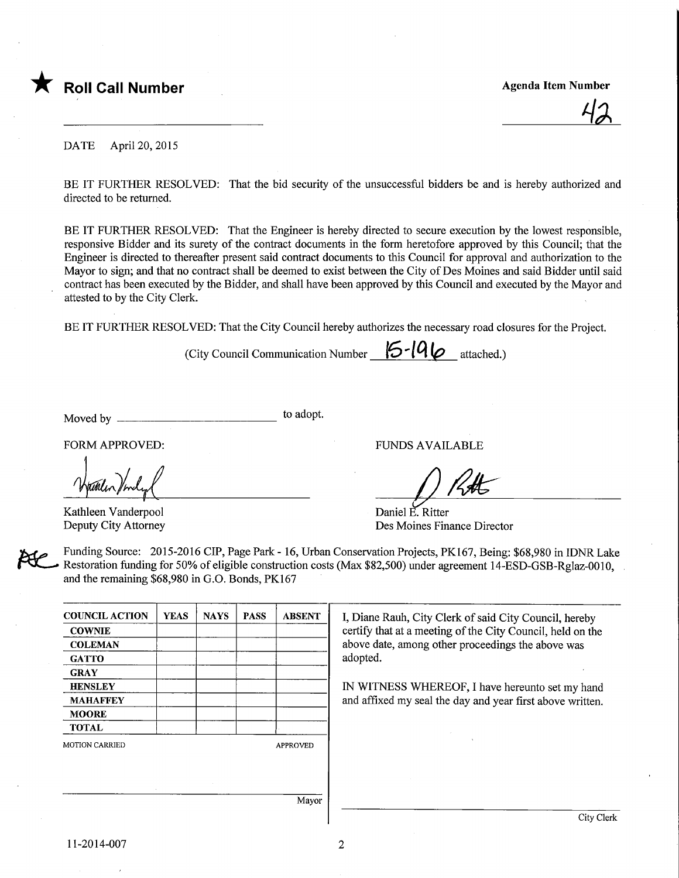

**Agenda Item Number** 

DATE April 20, 2015

BE IT FURTHER RESOLVED: That the bid security of the unsuccessful bidders be and is hereby authorized and directed to be returned.

BE IT FURTHER RESOLVED: That the Engineer is hereby directed to secure execution by the lowest responsible, responsive Bidder and its surety of the contract documents in the form heretofore approved by this Council; that the Engineer is directed to thereafter present said contract documents to this Council for approval and authorization to the Mayor to sign; and that no contract shall be deemed to exist between the City of Des Moines and said Bidder until said contract has been executed by the Bidder, and shall have been approved by this Council and executed by the Mayor and attested to by the City Clerk.

BE IT FURTHER RESOLVED: That the City Council hereby authorizes the necessary road closures for the Project.

(City Council Communication Number  $\mathcal{\mathcal{F}}$ -19 $\omega$  attached.)

Moved by to adopt.

FORM APPROVED: THE RESERVED OF THE RESERVED OF THE RESERVED OF THE RESERVED OF THE RESERVED OF THE RESERVED OF THE RESERVED OF THE RESERVED OF THE RESERVED OF THE RESERVED OF THE RESERVED OF THE RESERVED OF THE RESERVED OF

Kathleen Vanderpool Deputy City Attorney

 $1/k$ 

Daniel E. Ritter Des Moines Finance Director

Funding Source: 2015-2016 CIP, Page Park - 16, Urban Conservation Projects, PK167, Being: \$68,980 in IDNR Lake Restoration funding for 50% of eligible construction costs (Max \$82,500) under agreement 14-ESD-GSB-Rglaz-OOlO, and the remaining \$68,980 in G.O. Bonds, PK167

| <b>COUNCIL ACTION</b> | <b>YEAS</b> | <b>NAYS</b> | <b>PASS</b> | <b>ABSENT</b>   |
|-----------------------|-------------|-------------|-------------|-----------------|
| <b>COWNIE</b>         |             |             |             |                 |
| <b>COLEMAN</b>        |             |             |             |                 |
| <b>GATTO</b>          |             |             |             |                 |
| <b>GRAY</b>           |             |             |             |                 |
| <b>HENSLEY</b>        |             |             |             |                 |
| <b>MAHAFFEY</b>       |             |             |             |                 |
| <b>MOORE</b>          |             |             |             |                 |
| <b>TOTAL</b>          |             |             |             |                 |
| <b>MOTION CARRIED</b> |             |             |             | <b>APPROVED</b> |
|                       |             |             |             |                 |
|                       |             |             |             |                 |
|                       |             |             |             |                 |

I, Diane Rauh, City Clerk of said City Council, hereby certify that at a meeting of the City Council, held on the above date, among other proceedings the above was adopted.

IN WITNESS WHEREOF, I have hereunto set my hand and affixed my seal the day and year first above written.